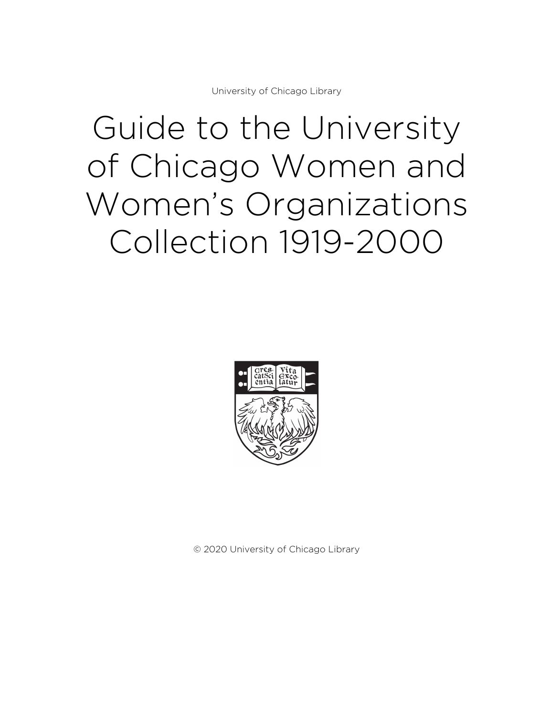University of Chicago Library

# Guide to the University of Chicago Women and Women's Organizations Collection 1919-2000



© 2020 University of Chicago Library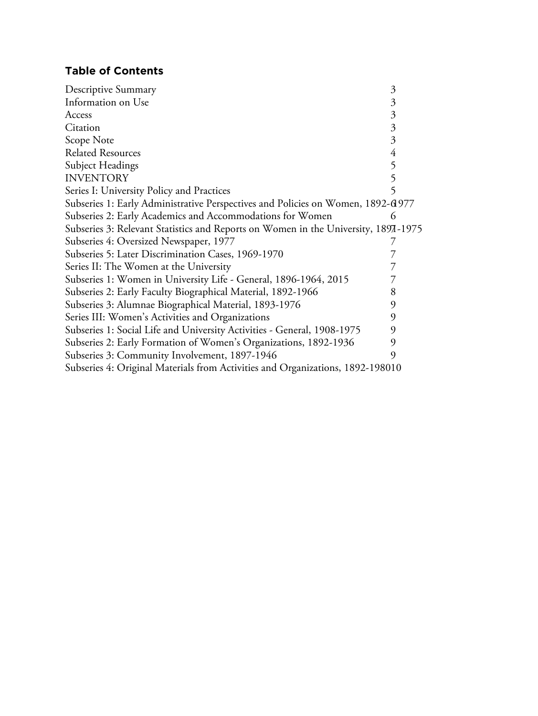# **Table of Contents**

| Descriptive Summary                                                                | 3              |
|------------------------------------------------------------------------------------|----------------|
| Information on Use                                                                 | 3              |
| Access                                                                             | 3              |
| Citation                                                                           | $\mathfrak{Z}$ |
| Scope Note                                                                         | $\mathfrak{Z}$ |
| <b>Related Resources</b>                                                           | $\overline{4}$ |
| <b>Subject Headings</b>                                                            | 5              |
| <b>INVENTORY</b>                                                                   | 5              |
| Series I: University Policy and Practices                                          | 5              |
| Subseries 1: Early Administrative Perspectives and Policies on Women, 1892-61977   |                |
| Subseries 2: Early Academics and Accommodations for Women                          | 6              |
| Subseries 3: Relevant Statistics and Reports on Women in the University, 1897-1975 |                |
| Subseries 4: Oversized Newspaper, 1977                                             |                |
| Subseries 5: Later Discrimination Cases, 1969-1970                                 |                |
| Series II: The Women at the University                                             |                |
| Subseries 1: Women in University Life - General, 1896-1964, 2015                   |                |
| Subseries 2: Early Faculty Biographical Material, 1892-1966                        | 8              |
| Subseries 3: Alumnae Biographical Material, 1893-1976                              | 9              |
| Series III: Women's Activities and Organizations                                   | 9              |
| Subseries 1: Social Life and University Activities - General, 1908-1975            | 9              |
| Subseries 2: Early Formation of Women's Organizations, 1892-1936                   | 9              |
| Subseries 3: Community Involvement, 1897-1946                                      | 9              |
| Subseries 4: Original Materials from Activities and Organizations, 1892-198010     |                |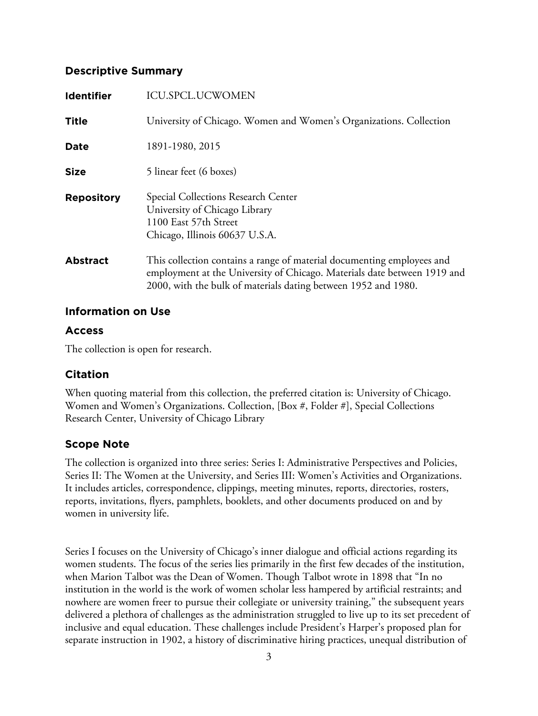# **Descriptive Summary**

| <b>ICU.SPCL.UCWOMEN</b>                                                                                                                                                                                              |
|----------------------------------------------------------------------------------------------------------------------------------------------------------------------------------------------------------------------|
| University of Chicago. Women and Women's Organizations. Collection                                                                                                                                                   |
| 1891-1980, 2015                                                                                                                                                                                                      |
| 5 linear feet (6 boxes)                                                                                                                                                                                              |
| Special Collections Research Center<br>University of Chicago Library<br>1100 East 57th Street<br>Chicago, Illinois 60637 U.S.A.                                                                                      |
| This collection contains a range of material documenting employees and<br>employment at the University of Chicago. Materials date between 1919 and<br>2000, with the bulk of materials dating between 1952 and 1980. |
|                                                                                                                                                                                                                      |

## **Information on Use**

## **Access**

The collection is open for research.

# **Citation**

When quoting material from this collection, the preferred citation is: University of Chicago. Women and Women's Organizations. Collection, [Box #, Folder #], Special Collections Research Center, University of Chicago Library

# **Scope Note**

The collection is organized into three series: Series I: Administrative Perspectives and Policies, Series II: The Women at the University, and Series III: Women's Activities and Organizations. It includes articles, correspondence, clippings, meeting minutes, reports, directories, rosters, reports, invitations, flyers, pamphlets, booklets, and other documents produced on and by women in university life.

Series I focuses on the University of Chicago's inner dialogue and official actions regarding its women students. The focus of the series lies primarily in the first few decades of the institution, when Marion Talbot was the Dean of Women. Though Talbot wrote in 1898 that "In no institution in the world is the work of women scholar less hampered by artificial restraints; and nowhere are women freer to pursue their collegiate or university training," the subsequent years delivered a plethora of challenges as the administration struggled to live up to its set precedent of inclusive and equal education. These challenges include President's Harper's proposed plan for separate instruction in 1902, a history of discriminative hiring practices, unequal distribution of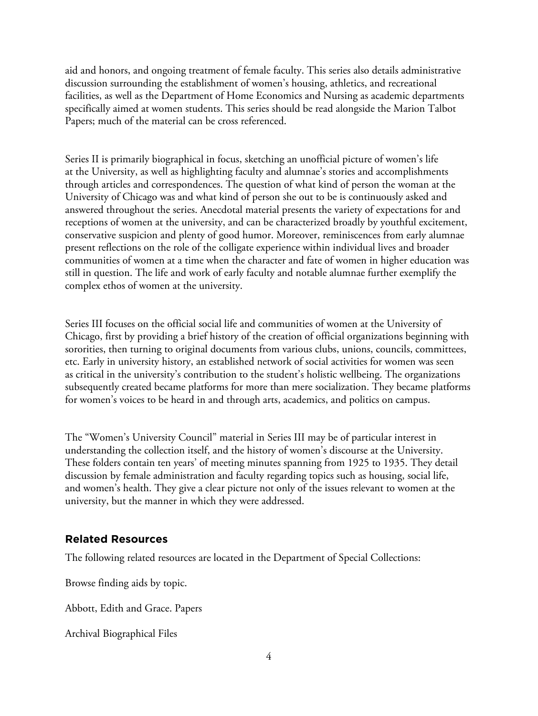aid and honors, and ongoing treatment of female faculty. This series also details administrative discussion surrounding the establishment of women's housing, athletics, and recreational facilities, as well as the Department of Home Economics and Nursing as academic departments specifically aimed at women students. This series should be read alongside the Marion Talbot Papers; much of the material can be cross referenced.

Series II is primarily biographical in focus, sketching an unofficial picture of women's life at the University, as well as highlighting faculty and alumnae's stories and accomplishments through articles and correspondences. The question of what kind of person the woman at the University of Chicago was and what kind of person she out to be is continuously asked and answered throughout the series. Anecdotal material presents the variety of expectations for and receptions of women at the university, and can be characterized broadly by youthful excitement, conservative suspicion and plenty of good humor. Moreover, reminiscences from early alumnae present reflections on the role of the colligate experience within individual lives and broader communities of women at a time when the character and fate of women in higher education was still in question. The life and work of early faculty and notable alumnae further exemplify the complex ethos of women at the university.

Series III focuses on the official social life and communities of women at the University of Chicago, first by providing a brief history of the creation of official organizations beginning with sororities, then turning to original documents from various clubs, unions, councils, committees, etc. Early in university history, an established network of social activities for women was seen as critical in the university's contribution to the student's holistic wellbeing. The organizations subsequently created became platforms for more than mere socialization. They became platforms for women's voices to be heard in and through arts, academics, and politics on campus.

The "Women's University Council" material in Series III may be of particular interest in understanding the collection itself, and the history of women's discourse at the University. These folders contain ten years' of meeting minutes spanning from 1925 to 1935. They detail discussion by female administration and faculty regarding topics such as housing, social life, and women's health. They give a clear picture not only of the issues relevant to women at the university, but the manner in which they were addressed.

# **Related Resources**

The following related resources are located in the Department of Special Collections:

Browse finding aids by topic.

Abbott, Edith and Grace. Papers

Archival Biographical Files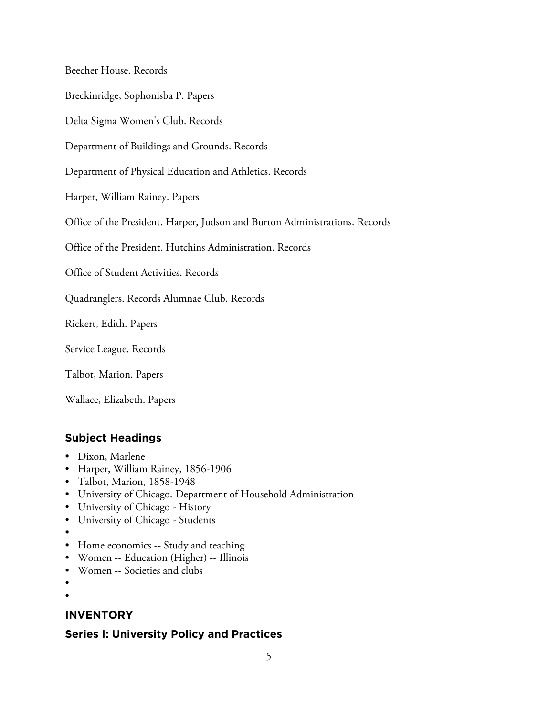Beecher House. Records

Breckinridge, Sophonisba P. Papers

Delta Sigma Women's Club. Records

Department of Buildings and Grounds. Records

Department of Physical Education and Athletics. Records

Harper, William Rainey. Papers

Office of the President. Harper, Judson and Burton Administrations. Records

Office of the President. Hutchins Administration. Records

Office of Student Activities. Records

Quadranglers. Records Alumnae Club. Records

Rickert, Edith. Papers

Service League. Records

Talbot, Marion. Papers

Wallace, Elizabeth. Papers

## **Subject Headings**

- Dixon, Marlene
- Harper, William Rainey, 1856-1906
- Talbot, Marion, 1858-1948
- University of Chicago. Department of Household Administration
- University of Chicago History
- University of Chicago Students
- •
- Home economics -- Study and teaching
- Women -- Education (Higher) -- Illinois
- Women -- Societies and clubs
- •
- •

# **INVENTORY**

# **Series I: University Policy and Practices**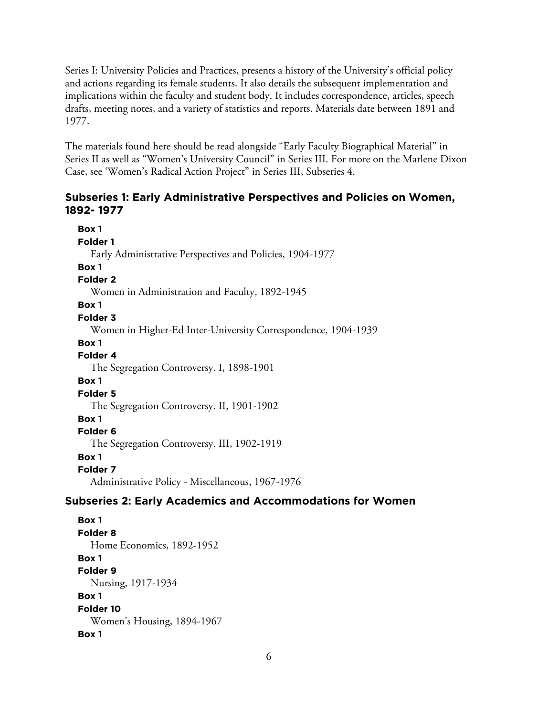Series I: University Policies and Practices, presents a history of the University's official policy and actions regarding its female students. It also details the subsequent implementation and implications within the faculty and student body. It includes correspondence, articles, speech drafts, meeting notes, and a variety of statistics and reports. Materials date between 1891 and 1977.

The materials found here should be read alongside "Early Faculty Biographical Material" in Series II as well as "Women's University Council" in Series III. For more on the Marlene Dixon Case, see 'Women's Radical Action Project" in Series III, Subseries 4.

## **Subseries 1: Early Administrative Perspectives and Policies on Women, 1892- 1977**

**Box 1 Folder 1** Early Administrative Perspectives and Policies, 1904-1977 **Box 1 Folder 2** Women in Administration and Faculty, 1892-1945 **Box 1 Folder 3** Women in Higher-Ed Inter-University Correspondence, 1904-1939 **Box 1 Folder 4** The Segregation Controversy. I, 1898-1901 **Box 1 Folder 5** The Segregation Controversy. II, 1901-1902 **Box 1 Folder 6** The Segregation Controversy. III, 1902-1919 **Box 1 Folder 7** Administrative Policy - Miscellaneous, 1967-1976 **Subseries 2: Early Academics and Accommodations for Women**

**Box 1 Folder 8** Home Economics, 1892-1952 **Box 1 Folder 9** Nursing, 1917-1934 **Box 1 Folder 10** Women's Housing, 1894-1967 **Box 1**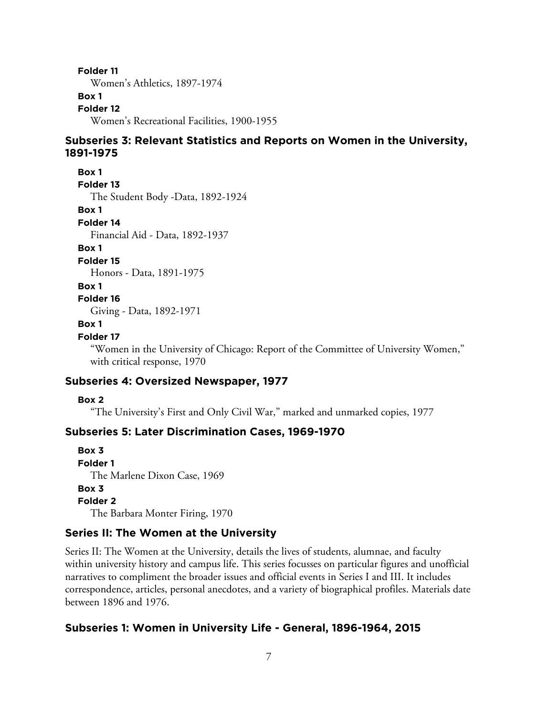**Folder 11**

Women's Athletics, 1897-1974

# **Box 1**

**Folder 12** Women's Recreational Facilities, 1900-1955

## **Subseries 3: Relevant Statistics and Reports on Women in the University, 1891-1975**

**Box 1**

**Folder 13**

The Student Body -Data, 1892-1924

**Box 1**

**Folder 14**

Financial Aid - Data, 1892-1937

**Box 1**

**Folder 15**

Honors - Data, 1891-1975

#### **Box 1**

**Folder 16**

Giving - Data, 1892-1971

#### **Box 1**

#### **Folder 17**

"Women in the University of Chicago: Report of the Committee of University Women," with critical response, 1970

# **Subseries 4: Oversized Newspaper, 1977**

#### **Box 2**

"The University's First and Only Civil War," marked and unmarked copies, 1977

# **Subseries 5: Later Discrimination Cases, 1969-1970**

**Box 3 Folder 1** The Marlene Dixon Case, 1969 **Box 3 Folder 2** The Barbara Monter Firing, 1970

# **Series II: The Women at the University**

Series II: The Women at the University, details the lives of students, alumnae, and faculty within university history and campus life. This series focusses on particular figures and unofficial narratives to compliment the broader issues and official events in Series I and III. It includes correspondence, articles, personal anecdotes, and a variety of biographical profiles. Materials date between 1896 and 1976.

# **Subseries 1: Women in University Life - General, 1896-1964, 2015**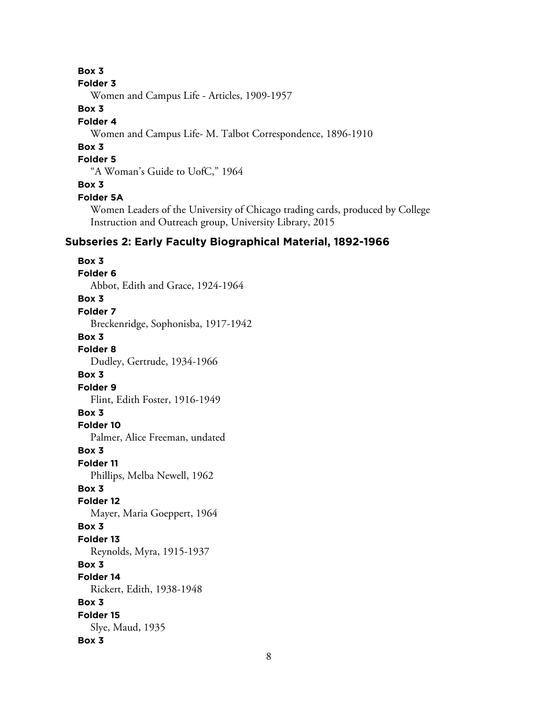## **Box 3**

#### **Folder 3**

Women and Campus Life - Articles, 1909-1957

## **Box 3**

#### **Folder 4**

Women and Campus Life- M. Talbot Correspondence, 1896-1910

# **Box 3**

# **Folder 5**

"A Woman's Guide to UofC," 1964

## **Box 3**

#### **Folder 5A**

Women Leaders of the University of Chicago trading cards, produced by College Instruction and Outreach group, University Library, 2015

# **Subseries 2: Early Faculty Biographical Material, 1892-1966**

**Box 3 Folder 6** Abbot, Edith and Grace, 1924-1964 **Box 3 Folder 7** Breckenridge, Sophonisba, 1917-1942 **Box 3 Folder 8** Dudley, Gertrude, 1934-1966 **Box 3 Folder 9** Flint, Edith Foster, 1916-1949 **Box 3 Folder 10** Palmer, Alice Freeman, undated **Box 3 Folder 11** Phillips, Melba Newell, 1962 **Box 3 Folder 12** Mayer, Maria Goeppert, 1964 **Box 3 Folder 13** Reynolds, Myra, 1915-1937 **Box 3 Folder 14** Rickert, Edith, 1938-1948 **Box 3 Folder 15** Slye, Maud, 1935 **Box 3**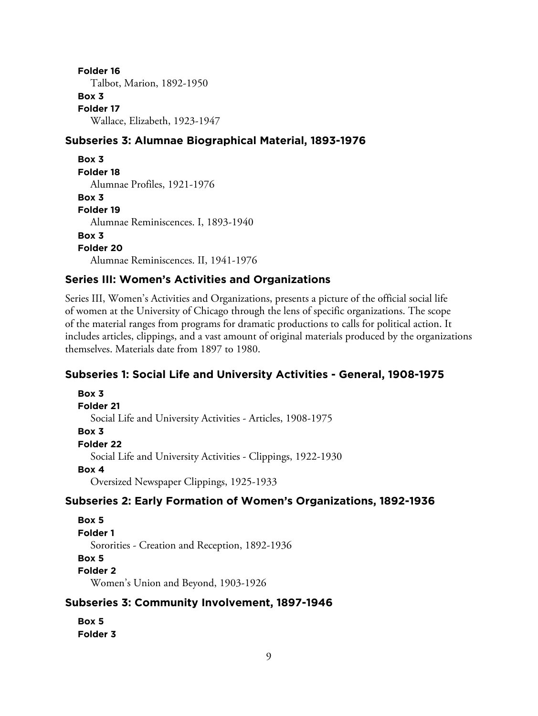**Folder 16** Talbot, Marion, 1892-1950 **Box 3 Folder 17** Wallace, Elizabeth, 1923-1947

## **Subseries 3: Alumnae Biographical Material, 1893-1976**

```
Box 3
Folder 18
  Alumnae Profiles, 1921-1976
Box 3
Folder 19
  Alumnae Reminiscences. I, 1893-1940
Box 3
Folder 20
  Alumnae Reminiscences. II, 1941-1976
```
## **Series III: Women's Activities and Organizations**

Series III, Women's Activities and Organizations, presents a picture of the official social life of women at the University of Chicago through the lens of specific organizations. The scope of the material ranges from programs for dramatic productions to calls for political action. It includes articles, clippings, and a vast amount of original materials produced by the organizations themselves. Materials date from 1897 to 1980.

#### **Subseries 1: Social Life and University Activities - General, 1908-1975**

**Box 3 Folder 21** Social Life and University Activities - Articles, 1908-1975 **Box 3 Folder 22** Social Life and University Activities - Clippings, 1922-1930 **Box 4** Oversized Newspaper Clippings, 1925-1933

## **Subseries 2: Early Formation of Women's Organizations, 1892-1936**

#### **Box 5**

**Folder 1**

Sororities - Creation and Reception, 1892-1936

#### **Box 5**

**Folder 2**

Women's Union and Beyond, 1903-1926

## **Subseries 3: Community Involvement, 1897-1946**

**Box 5 Folder 3**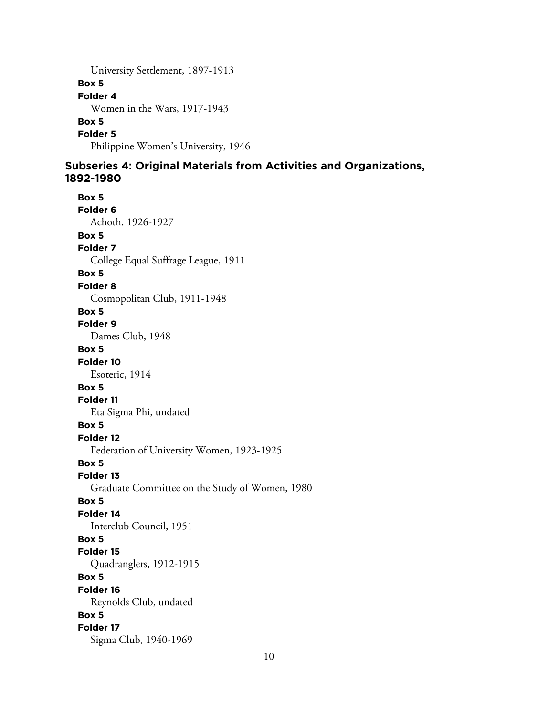University Settlement, 1897-1913 **Box 5 Folder 4** Women in the Wars, 1917-1943 **Box 5 Folder 5** Philippine Women's University, 1946

## **Subseries 4: Original Materials from Activities and Organizations, 1892-1980**

**Box 5 Folder 6** Achoth. 1926-1927 **Box 5 Folder 7** College Equal Suffrage League, 1911 **Box 5 Folder 8** Cosmopolitan Club, 1911-1948 **Box 5 Folder 9** Dames Club, 1948 **Box 5 Folder 10** Esoteric, 1914 **Box 5 Folder 11** Eta Sigma Phi, undated **Box 5 Folder 12** Federation of University Women, 1923-1925 **Box 5 Folder 13** Graduate Committee on the Study of Women, 1980 **Box 5 Folder 14** Interclub Council, 1951 **Box 5 Folder 15** Quadranglers, 1912-1915 **Box 5 Folder 16** Reynolds Club, undated **Box 5 Folder 17** Sigma Club, 1940-1969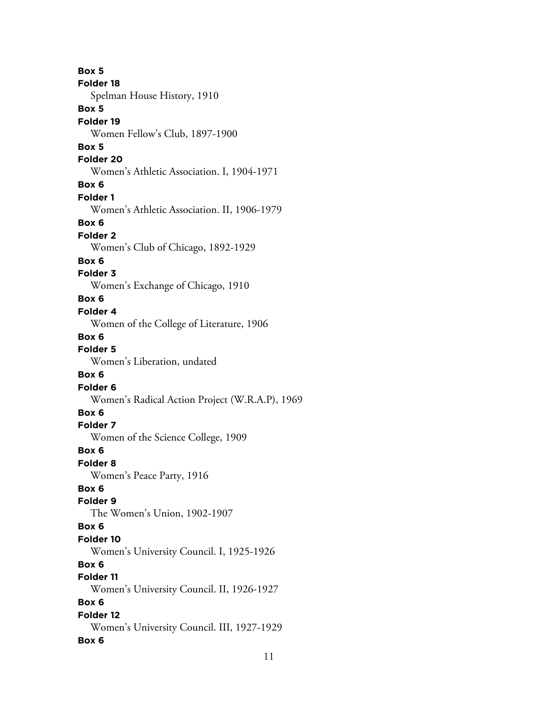**Box 5 Folder 18** Spelman House History, 1910 **Box 5 Folder 19** Women Fellow's Club, 1897-1900 **Box 5 Folder 20** Women's Athletic Association. I, 1904-1971 **Box 6 Folder 1** Women's Athletic Association. II, 1906-1979 **Box 6 Folder 2** Women's Club of Chicago, 1892-1929 **Box 6 Folder 3** Women's Exchange of Chicago, 1910 **Box 6 Folder 4** Women of the College of Literature, 1906 **Box 6 Folder 5** Women's Liberation, undated **Box 6 Folder 6** Women's Radical Action Project (W.R.A.P), 1969 **Box 6 Folder 7** Women of the Science College, 1909 **Box 6 Folder 8** Women's Peace Party, 1916 **Box 6 Folder 9** The Women's Union, 1902-1907 **Box 6 Folder 10** Women's University Council. I, 1925-1926 **Box 6 Folder 11** Women's University Council. II, 1926-1927 **Box 6 Folder 12** Women's University Council. III, 1927-1929 **Box 6**